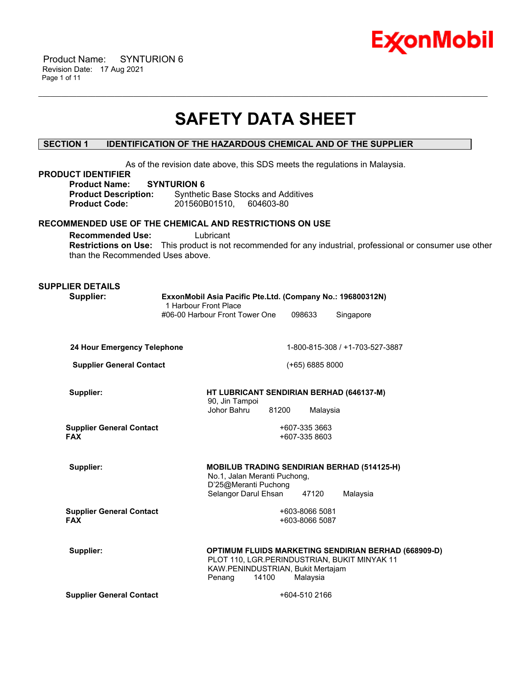

 Product Name: SYNTURION 6 Revision Date: 17 Aug 2021 Page 1 of 11

# **SAFETY DATA SHEET**

\_\_\_\_\_\_\_\_\_\_\_\_\_\_\_\_\_\_\_\_\_\_\_\_\_\_\_\_\_\_\_\_\_\_\_\_\_\_\_\_\_\_\_\_\_\_\_\_\_\_\_\_\_\_\_\_\_\_\_\_\_\_\_\_\_\_\_\_\_\_\_\_\_\_\_\_\_\_\_\_\_\_\_\_\_\_\_\_\_\_\_\_\_\_\_\_\_\_\_\_\_\_\_\_\_\_\_\_\_\_\_\_\_\_\_\_\_\_

# **SECTION 1 IDENTIFICATION OF THE HAZARDOUS CHEMICAL AND OF THE SUPPLIER**

As of the revision date above, this SDS meets the regulations in Malaysia.

| <b>PRODUCT IDENTIFIER</b><br><b>Product Name:</b><br><b>SYNTURION 6</b><br><b>Product Description:</b><br><b>Product Code:</b> | AS OF THE TEVISION GATE ADOVE, THIS SIDS THEETS THE TEGUIATIONS IN MAIA VSIA.<br><b>Synthetic Base Stocks and Additives</b><br>201560B01510,<br>604603-80                       |
|--------------------------------------------------------------------------------------------------------------------------------|---------------------------------------------------------------------------------------------------------------------------------------------------------------------------------|
| RECOMMENDED USE OF THE CHEMICAL AND RESTRICTIONS ON USE<br><b>Recommended Use:</b><br>than the Recommended Uses above.         | Lubricant<br>Restrictions on Use: This product is not recommended for any industrial, professional or consumer use other                                                        |
| <b>SUPPLIER DETAILS</b><br>Supplier:                                                                                           | ExxonMobil Asia Pacific Pte.Ltd. (Company No.: 196800312N)<br>1 Harbour Front Place<br>#06-00 Harbour Front Tower One<br>098633<br>Singapore                                    |
| 24 Hour Emergency Telephone                                                                                                    | 1-800-815-308 / +1-703-527-3887                                                                                                                                                 |
| <b>Supplier General Contact</b>                                                                                                | $(+65)$ 6885 8000                                                                                                                                                               |
| Supplier:                                                                                                                      | HT LUBRICANT SENDIRIAN BERHAD (646137-M)<br>90, Jin Tampoi<br>Johor Bahru<br>81200<br>Malaysia                                                                                  |
| <b>Supplier General Contact</b><br><b>FAX</b>                                                                                  | +607-335 3663<br>+607-335 8603                                                                                                                                                  |
| Supplier:                                                                                                                      | <b>MOBILUB TRADING SENDIRIAN BERHAD (514125-H)</b><br>No.1, Jalan Meranti Puchong,<br>D'25@Meranti Puchong<br>Selangor Darul Ehsan<br>47120<br>Malaysia                         |
| <b>Supplier General Contact</b><br><b>FAX</b>                                                                                  | +603-8066 5081<br>+603-8066 5087                                                                                                                                                |
| Supplier:                                                                                                                      | <b>OPTIMUM FLUIDS MARKETING SENDIRIAN BERHAD (668909-D)</b><br>PLOT 110, LGR.PERINDUSTRIAN, BUKIT MINYAK 11<br>KAW.PENINDUSTRIAN, Bukit Mertajam<br>Penang<br>14100<br>Malaysia |
| <b>Supplier General Contact</b>                                                                                                | +604-510 2166                                                                                                                                                                   |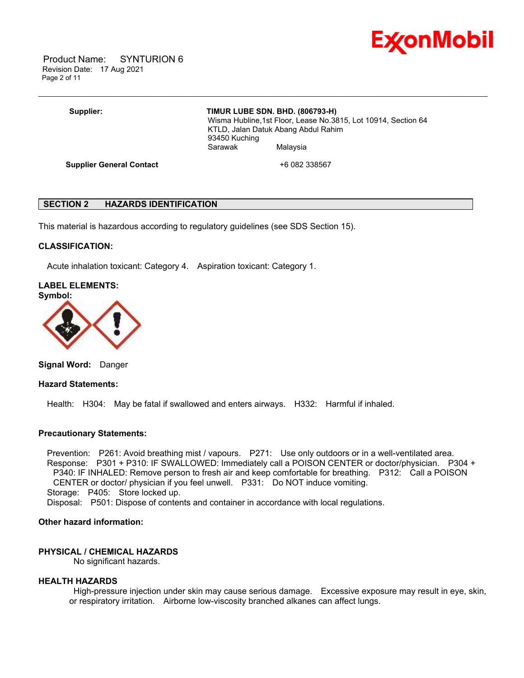

 Product Name: SYNTURION 6 Revision Date: 17 Aug 2021 Page 2 of 11

# **Supplier: TIMUR LUBE SDN. BHD. (806793-H)**

\_\_\_\_\_\_\_\_\_\_\_\_\_\_\_\_\_\_\_\_\_\_\_\_\_\_\_\_\_\_\_\_\_\_\_\_\_\_\_\_\_\_\_\_\_\_\_\_\_\_\_\_\_\_\_\_\_\_\_\_\_\_\_\_\_\_\_\_\_\_\_\_\_\_\_\_\_\_\_\_\_\_\_\_\_\_\_\_\_\_\_\_\_\_\_\_\_\_\_\_\_\_\_\_\_\_\_\_\_\_\_\_\_\_\_\_\_\_

 Wisma Hubline,1st Floor, Lease No.3815, Lot 10914, Section 64 KTLD, Jalan Datuk Abang Abdul Rahim 93450 Kuching Sarawak Malaysia

**Supplier General Contact** +6 082 338567

# **SECTION 2 HAZARDS IDENTIFICATION**

This material is hazardous according to regulatory guidelines (see SDS Section 15).

#### **CLASSIFICATION:**

Acute inhalation toxicant: Category 4. Aspiration toxicant: Category 1.

# **LABEL ELEMENTS:**



**Signal Word:** Danger

#### **Hazard Statements:**

Health: H304: May be fatal if swallowed and enters airways. H332: Harmful if inhaled.

#### **Precautionary Statements:**

 Prevention: P261: Avoid breathing mist / vapours. P271: Use only outdoors or in a well-ventilated area. Response: P301 + P310: IF SWALLOWED: Immediately call a POISON CENTER or doctor/physician. P304 + P340: IF INHALED: Remove person to fresh air and keep comfortable for breathing. P312: Call a POISON CENTER or doctor/ physician if you feel unwell. P331: Do NOT induce vomiting. Storage: P405: Store locked up.

Disposal: P501: Dispose of contents and container in accordance with local regulations.

# **Other hazard information:**

# **PHYSICAL / CHEMICAL HAZARDS**

No significant hazards.

#### **HEALTH HAZARDS**

High-pressure injection under skin may cause serious damage. Excessive exposure may result in eye, skin, or respiratory irritation. Airborne low-viscosity branched alkanes can affect lungs.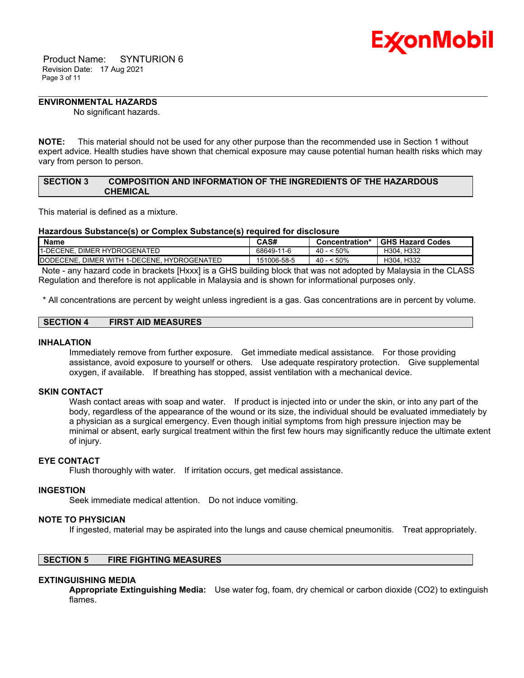

 Product Name: SYNTURION 6 Revision Date: 17 Aug 2021 Page 3 of 11

### **ENVIRONMENTAL HAZARDS**

No significant hazards.

**NOTE:** This material should not be used for any other purpose than the recommended use in Section 1 without expert advice. Health studies have shown that chemical exposure may cause potential human health risks which may vary from person to person.

\_\_\_\_\_\_\_\_\_\_\_\_\_\_\_\_\_\_\_\_\_\_\_\_\_\_\_\_\_\_\_\_\_\_\_\_\_\_\_\_\_\_\_\_\_\_\_\_\_\_\_\_\_\_\_\_\_\_\_\_\_\_\_\_\_\_\_\_\_\_\_\_\_\_\_\_\_\_\_\_\_\_\_\_\_\_\_\_\_\_\_\_\_\_\_\_\_\_\_\_\_\_\_\_\_\_\_\_\_\_\_\_\_\_\_\_\_\_

### **SECTION 3 COMPOSITION AND INFORMATION OF THE INGREDIENTS OF THE HAZARDOUS CHEMICAL**

This material is defined as a mixture.

#### **Hazardous Substance(s) or Complex Substance(s) required for disclosure**

| <b>Name</b>                                 | <b>CAS#</b> | Concentration*  | <b>GHS Hazard Codes</b> |
|---------------------------------------------|-------------|-----------------|-------------------------|
| 1-DECENE. DIMER HYDROGENATED                | 68649-11-6  | $-50\%$<br>40 - | H304. H332              |
| DODECENE, DIMER WITH 1-DECENE, HYDROGENATED | 151006-58-5 | - 50%<br>$40 -$ | H304, H332              |

Note - any hazard code in brackets [Hxxx] is a GHS building block that was not adopted by Malaysia in the CLASS Regulation and therefore is not applicable in Malaysia and is shown for informational purposes only.

\* All concentrations are percent by weight unless ingredient is a gas. Gas concentrations are in percent by volume.

|  | SECTION 4 | <b>FIRST AID MEASURES</b> |
|--|-----------|---------------------------|
|--|-----------|---------------------------|

#### **INHALATION**

Immediately remove from further exposure. Get immediate medical assistance. For those providing assistance, avoid exposure to yourself or others. Use adequate respiratory protection. Give supplemental oxygen, if available. If breathing has stopped, assist ventilation with a mechanical device.

### **SKIN CONTACT**

Wash contact areas with soap and water. If product is injected into or under the skin, or into any part of the body, regardless of the appearance of the wound or its size, the individual should be evaluated immediately by a physician as a surgical emergency. Even though initial symptoms from high pressure injection may be minimal or absent, early surgical treatment within the first few hours may significantly reduce the ultimate extent of injury.

#### **EYE CONTACT**

Flush thoroughly with water. If irritation occurs, get medical assistance.

#### **INGESTION**

Seek immediate medical attention. Do not induce vomiting.

#### **NOTE TO PHYSICIAN**

If ingested, material may be aspirated into the lungs and cause chemical pneumonitis. Treat appropriately.

# **SECTION 5 FIRE FIGHTING MEASURES**

#### **EXTINGUISHING MEDIA**

**Appropriate Extinguishing Media:** Use water fog, foam, dry chemical or carbon dioxide (CO2) to extinguish flames.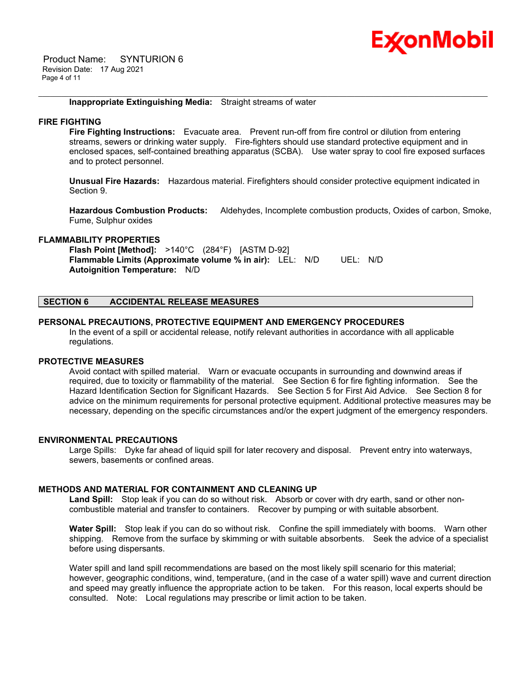

 Product Name: SYNTURION 6 Revision Date: 17 Aug 2021 Page 4 of 11

#### **Inappropriate Extinguishing Media:** Straight streams of water

#### **FIRE FIGHTING**

**Fire Fighting Instructions:** Evacuate area. Prevent run-off from fire control or dilution from entering streams, sewers or drinking water supply. Fire-fighters should use standard protective equipment and in enclosed spaces, self-contained breathing apparatus (SCBA). Use water spray to cool fire exposed surfaces and to protect personnel.

\_\_\_\_\_\_\_\_\_\_\_\_\_\_\_\_\_\_\_\_\_\_\_\_\_\_\_\_\_\_\_\_\_\_\_\_\_\_\_\_\_\_\_\_\_\_\_\_\_\_\_\_\_\_\_\_\_\_\_\_\_\_\_\_\_\_\_\_\_\_\_\_\_\_\_\_\_\_\_\_\_\_\_\_\_\_\_\_\_\_\_\_\_\_\_\_\_\_\_\_\_\_\_\_\_\_\_\_\_\_\_\_\_\_\_\_\_\_

**Unusual Fire Hazards:** Hazardous material. Firefighters should consider protective equipment indicated in Section 9.

**Hazardous Combustion Products:** Aldehydes, Incomplete combustion products, Oxides of carbon, Smoke, Fume, Sulphur oxides

#### **FLAMMABILITY PROPERTIES**

**Flash Point [Method]:** >140°C (284°F) [ASTM D-92] **Flammable Limits (Approximate volume % in air):** LEL: N/D UEL: N/D **Autoignition Temperature:** N/D

# **SECTION 6 ACCIDENTAL RELEASE MEASURES**

#### **PERSONAL PRECAUTIONS, PROTECTIVE EQUIPMENT AND EMERGENCY PROCEDURES**

In the event of a spill or accidental release, notify relevant authorities in accordance with all applicable regulations.

#### **PROTECTIVE MEASURES**

Avoid contact with spilled material. Warn or evacuate occupants in surrounding and downwind areas if required, due to toxicity or flammability of the material. See Section 6 for fire fighting information. See the Hazard Identification Section for Significant Hazards. See Section 5 for First Aid Advice. See Section 8 for advice on the minimum requirements for personal protective equipment. Additional protective measures may be necessary, depending on the specific circumstances and/or the expert judgment of the emergency responders.

#### **ENVIRONMENTAL PRECAUTIONS**

Large Spills: Dyke far ahead of liquid spill for later recovery and disposal. Prevent entry into waterways, sewers, basements or confined areas.

## **METHODS AND MATERIAL FOR CONTAINMENT AND CLEANING UP**

**Land Spill:** Stop leak if you can do so without risk. Absorb or cover with dry earth, sand or other noncombustible material and transfer to containers. Recover by pumping or with suitable absorbent.

**Water Spill:** Stop leak if you can do so without risk. Confine the spill immediately with booms. Warn other shipping. Remove from the surface by skimming or with suitable absorbents. Seek the advice of a specialist before using dispersants.

Water spill and land spill recommendations are based on the most likely spill scenario for this material; however, geographic conditions, wind, temperature, (and in the case of a water spill) wave and current direction and speed may greatly influence the appropriate action to be taken. For this reason, local experts should be consulted. Note: Local regulations may prescribe or limit action to be taken.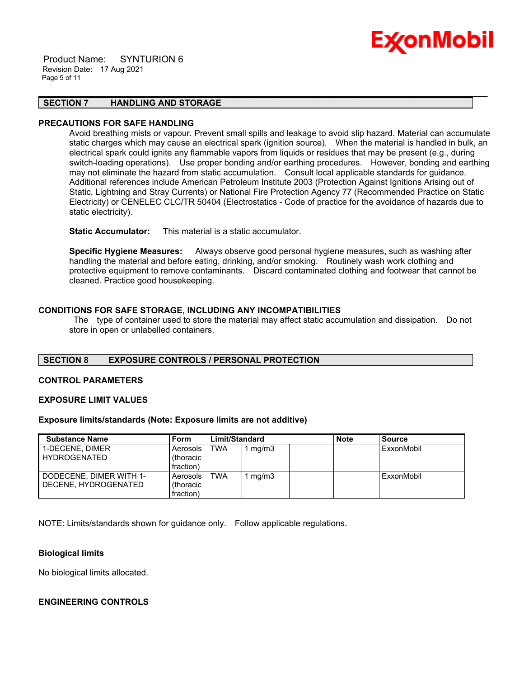#### Product Name: SYNTURION 6 Revision Date: 17 Aug 2021 Page 5 of 11

# Ex⁄onMobil

# **SECTION 7 HANDLING AND STORAGE**

### **PRECAUTIONS FOR SAFE HANDLING**

Avoid breathing mists or vapour. Prevent small spills and leakage to avoid slip hazard. Material can accumulate static charges which may cause an electrical spark (ignition source). When the material is handled in bulk, an electrical spark could ignite any flammable vapors from liquids or residues that may be present (e.g., during switch-loading operations). Use proper bonding and/or earthing procedures. However, bonding and earthing may not eliminate the hazard from static accumulation. Consult local applicable standards for guidance. Additional references include American Petroleum Institute 2003 (Protection Against Ignitions Arising out of Static, Lightning and Stray Currents) or National Fire Protection Agency 77 (Recommended Practice on Static Electricity) or CENELEC CLC/TR 50404 (Electrostatics - Code of practice for the avoidance of hazards due to static electricity).

\_\_\_\_\_\_\_\_\_\_\_\_\_\_\_\_\_\_\_\_\_\_\_\_\_\_\_\_\_\_\_\_\_\_\_\_\_\_\_\_\_\_\_\_\_\_\_\_\_\_\_\_\_\_\_\_\_\_\_\_\_\_\_\_\_\_\_\_\_\_\_\_\_\_\_\_\_\_\_\_\_\_\_\_\_\_\_\_\_\_\_\_\_\_\_\_\_\_\_\_\_\_\_\_\_\_\_\_\_\_\_\_\_\_\_\_\_\_

**Static Accumulator:** This material is a static accumulator.

**Specific Hygiene Measures:** Always observe good personal hygiene measures, such as washing after handling the material and before eating, drinking, and/or smoking. Routinely wash work clothing and protective equipment to remove contaminants. Discard contaminated clothing and footwear that cannot be cleaned. Practice good housekeeping.

# **CONDITIONS FOR SAFE STORAGE, INCLUDING ANY INCOMPATIBILITIES**

The type of container used to store the material may affect static accumulation and dissipation. Do not store in open or unlabelled containers.

#### **SECTION 8 EXPOSURE CONTROLS / PERSONAL PROTECTION**

# **CONTROL PARAMETERS**

#### **EXPOSURE LIMIT VALUES**

#### **Exposure limits/standards (Note: Exposure limits are not additive)**

| <b>Substance Name</b>   | Form            | Limit/Standard |       | <b>Note</b> | <b>Source</b> |
|-------------------------|-----------------|----------------|-------|-------------|---------------|
| 1-DECENE, DIMER         | Aerosols        | <b>TWA</b>     | mg/m3 |             | ExxonMobil    |
| <b>HYDROGENATED</b>     | thoracic)       |                |       |             |               |
|                         | fraction)       |                |       |             |               |
| DODECENE, DIMER WITH 1- | <b>Aerosols</b> | TWA            | mg/m3 |             | ExxonMobil    |
| DECENE, HYDROGENATED    | thoracic)       |                |       |             |               |
|                         | fraction)       |                |       |             |               |

NOTE: Limits/standards shown for guidance only. Follow applicable regulations.

#### **Biological limits**

No biological limits allocated.

# **ENGINEERING CONTROLS**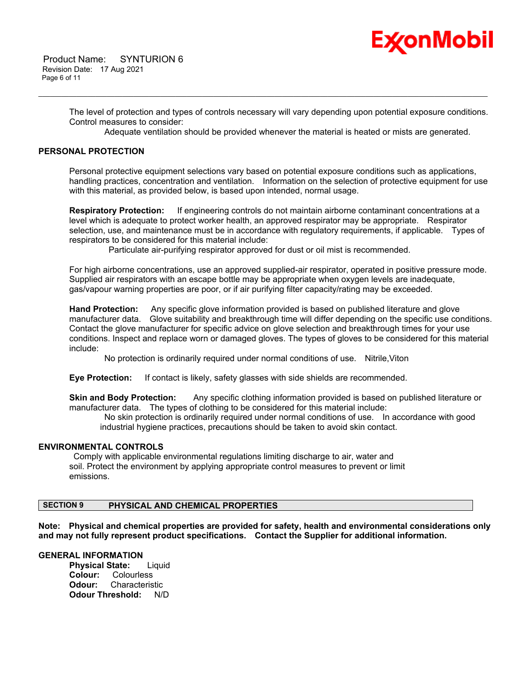# Ex⁄onMobil

The level of protection and types of controls necessary will vary depending upon potential exposure conditions. Control measures to consider:

\_\_\_\_\_\_\_\_\_\_\_\_\_\_\_\_\_\_\_\_\_\_\_\_\_\_\_\_\_\_\_\_\_\_\_\_\_\_\_\_\_\_\_\_\_\_\_\_\_\_\_\_\_\_\_\_\_\_\_\_\_\_\_\_\_\_\_\_\_\_\_\_\_\_\_\_\_\_\_\_\_\_\_\_\_\_\_\_\_\_\_\_\_\_\_\_\_\_\_\_\_\_\_\_\_\_\_\_\_\_\_\_\_\_\_\_\_\_

Adequate ventilation should be provided whenever the material is heated or mists are generated.

# **PERSONAL PROTECTION**

Personal protective equipment selections vary based on potential exposure conditions such as applications, handling practices, concentration and ventilation. Information on the selection of protective equipment for use with this material, as provided below, is based upon intended, normal usage.

**Respiratory Protection:** If engineering controls do not maintain airborne contaminant concentrations at a level which is adequate to protect worker health, an approved respirator may be appropriate. Respirator selection, use, and maintenance must be in accordance with regulatory requirements, if applicable. Types of respirators to be considered for this material include:

Particulate air-purifying respirator approved for dust or oil mist is recommended.

For high airborne concentrations, use an approved supplied-air respirator, operated in positive pressure mode. Supplied air respirators with an escape bottle may be appropriate when oxygen levels are inadequate, gas/vapour warning properties are poor, or if air purifying filter capacity/rating may be exceeded.

**Hand Protection:** Any specific glove information provided is based on published literature and glove manufacturer data. Glove suitability and breakthrough time will differ depending on the specific use conditions. Contact the glove manufacturer for specific advice on glove selection and breakthrough times for your use conditions. Inspect and replace worn or damaged gloves. The types of gloves to be considered for this material include:

No protection is ordinarily required under normal conditions of use. Nitrile,Viton

**Eye Protection:** If contact is likely, safety glasses with side shields are recommended.

**Skin and Body Protection:** Any specific clothing information provided is based on published literature or manufacturer data. The types of clothing to be considered for this material include:

No skin protection is ordinarily required under normal conditions of use. In accordance with good industrial hygiene practices, precautions should be taken to avoid skin contact.

#### **ENVIRONMENTAL CONTROLS**

Comply with applicable environmental regulations limiting discharge to air, water and soil. Protect the environment by applying appropriate control measures to prevent or limit emissions.

# **SECTION 9 PHYSICAL AND CHEMICAL PROPERTIES**

**Note: Physical and chemical properties are provided for safety, health and environmental considerations only and may not fully represent product specifications. Contact the Supplier for additional information.**

#### **GENERAL INFORMATION**

**Physical State:** Liquid **Colour:** Colourless **Odour:** Characteristic **Odour Threshold:** N/D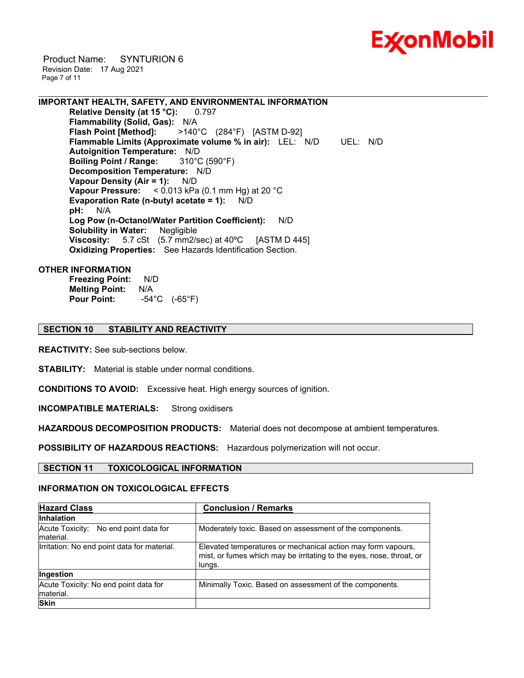

 Product Name: SYNTURION 6 Revision Date: 17 Aug 2021 Page 7 of 11

**IMPORTANT HEALTH, SAFETY, AND ENVIRONMENTAL INFORMATION Relative Density (at 15 °C):** 0.797

**Flammability (Solid, Gas):** N/A<br>**Flash Point [Method]:** >140° **Flash Point [Method]:** >140°C (284°F) [ASTM D-92] **Flammable Limits (Approximate volume % in air):** LEL: N/D UEL: N/D **Autoignition Temperature:** N/D **Boiling Point / Range:** 310°C (590°F) **Decomposition Temperature:** N/D **Vapour Density (Air = 1):** N/D **Vapour Pressure:** < 0.013 kPa (0.1 mm Hg) at 20 °C **Evaporation Rate (n-butyl acetate = 1):** N/D **pH:** N/A **Log Pow (n-Octanol/Water Partition Coefficient):** N/D **Solubility in Water:** Negligible **Viscosity:** 5.7 cSt (5.7 mm2/sec) at 40ºC [ASTM D 445] **Oxidizing Properties:** See Hazards Identification Section.

\_\_\_\_\_\_\_\_\_\_\_\_\_\_\_\_\_\_\_\_\_\_\_\_\_\_\_\_\_\_\_\_\_\_\_\_\_\_\_\_\_\_\_\_\_\_\_\_\_\_\_\_\_\_\_\_\_\_\_\_\_\_\_\_\_\_\_\_\_\_\_\_\_\_\_\_\_\_\_\_\_\_\_\_\_\_\_\_\_\_\_\_\_\_\_\_\_\_\_\_\_\_\_\_\_\_\_\_\_\_\_\_\_\_\_\_\_\_

# **OTHER INFORMATION**

**Freezing Point:** N/D **Melting Point:** N/A **Pour Point:** -54°C (-65°F)

# **SECTION 10 STABILITY AND REACTIVITY**

**REACTIVITY:** See sub-sections below.

**STABILITY:** Material is stable under normal conditions.

**CONDITIONS TO AVOID:** Excessive heat. High energy sources of ignition.

**INCOMPATIBLE MATERIALS:** Strong oxidisers

**HAZARDOUS DECOMPOSITION PRODUCTS:** Material does not decompose at ambient temperatures.

**POSSIBILITY OF HAZARDOUS REACTIONS:** Hazardous polymerization will not occur.

**SECTION 11 TOXICOLOGICAL INFORMATION**

#### **INFORMATION ON TOXICOLOGICAL EFFECTS**

| <b>Hazard Class</b>                                | <b>Conclusion / Remarks</b>                                                                                                                    |  |  |
|----------------------------------------------------|------------------------------------------------------------------------------------------------------------------------------------------------|--|--|
| <b>Inhalation</b>                                  |                                                                                                                                                |  |  |
| Acute Toxicity: No end point data for<br>material. | Moderately toxic. Based on assessment of the components.                                                                                       |  |  |
| Irritation: No end point data for material.        | Elevated temperatures or mechanical action may form vapours,<br>mist, or fumes which may be irritating to the eyes, nose, throat, or<br>lungs. |  |  |
| Ingestion                                          |                                                                                                                                                |  |  |
| Acute Toxicity: No end point data for<br>material. | Minimally Toxic. Based on assessment of the components.                                                                                        |  |  |
| <b>Skin</b>                                        |                                                                                                                                                |  |  |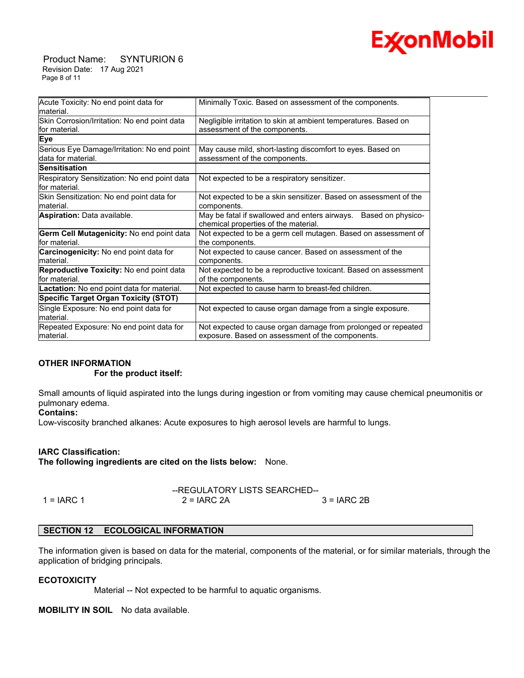

 Product Name: SYNTURION 6 Revision Date: 17 Aug 2021 Page 8 of 11

| Acute Toxicity: No end point data for<br>lmaterial.            | Minimally Toxic. Based on assessment of the components.                                                    |
|----------------------------------------------------------------|------------------------------------------------------------------------------------------------------------|
| Skin Corrosion/Irritation: No end point data<br>for material.  | Negligible irritation to skin at ambient temperatures. Based on<br>assessment of the components.           |
| Eye                                                            |                                                                                                            |
| Serious Eye Damage/Irritation: No end point                    | May cause mild, short-lasting discomfort to eyes. Based on                                                 |
| ldata for material.                                            | assessment of the components.                                                                              |
| <b>Sensitisation</b>                                           |                                                                                                            |
| Respiratory Sensitization: No end point data<br>lfor material. | Not expected to be a respiratory sensitizer.                                                               |
| Skin Sensitization: No end point data for                      | Not expected to be a skin sensitizer. Based on assessment of the                                           |
| material.                                                      | components.                                                                                                |
| <b>Aspiration: Data available.</b>                             | May be fatal if swallowed and enters airways.<br>Based on physico-<br>chemical properties of the material. |
| Germ Cell Mutagenicity: No end point data                      | Not expected to be a germ cell mutagen. Based on assessment of                                             |
| lfor material.                                                 | the components.                                                                                            |
| <b>Carcinogenicity:</b> No end point data for<br>lmaterial.    | Not expected to cause cancer. Based on assessment of the<br>components.                                    |
| Reproductive Toxicity: No end point data                       | Not expected to be a reproductive toxicant. Based on assessment                                            |
| for material.                                                  | of the components.                                                                                         |
| Lactation: No end point data for material.                     | Not expected to cause harm to breast-fed children.                                                         |
| Specific Target Organ Toxicity (STOT)                          |                                                                                                            |
| Single Exposure: No end point data for<br>material.            | Not expected to cause organ damage from a single exposure.                                                 |
| Repeated Exposure: No end point data for                       | Not expected to cause organ damage from prolonged or repeated                                              |
| material.                                                      | exposure. Based on assessment of the components.                                                           |

# **OTHER INFORMATION**

#### **For the product itself:**

Small amounts of liquid aspirated into the lungs during ingestion or from vomiting may cause chemical pneumonitis or pulmonary edema.

#### **Contains:**

Low-viscosity branched alkanes: Acute exposures to high aerosol levels are harmful to lungs.

# **IARC Classification:**

**The following ingredients are cited on the lists below:** None.

|              | --REGULATORY LISTS SEARCHED-- |               |
|--------------|-------------------------------|---------------|
| $1 = IARC 1$ | $2 = IARC 2A$                 | $3 = IARC 2B$ |

# **SECTION 12 ECOLOGICAL INFORMATION**

The information given is based on data for the material, components of the material, or for similar materials, through the application of bridging principals.

#### **ECOTOXICITY**

Material -- Not expected to be harmful to aquatic organisms.

**MOBILITY IN SOIL** No data available.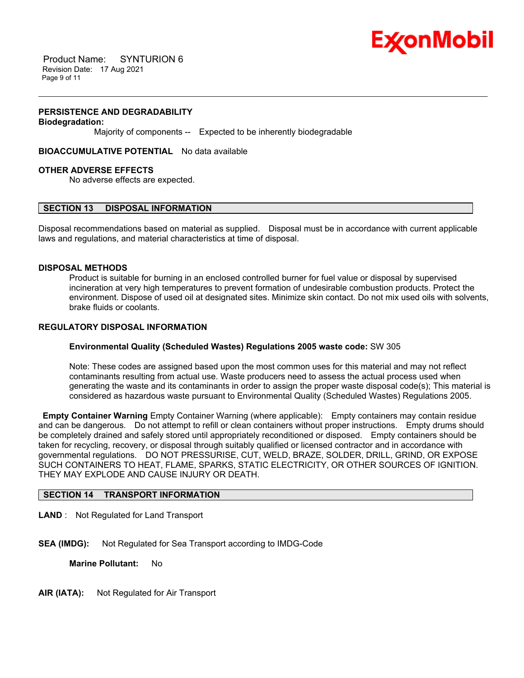

 Product Name: SYNTURION 6 Revision Date: 17 Aug 2021 Page 9 of 11

#### **PERSISTENCE AND DEGRADABILITY**

#### **Biodegradation:**

Majority of components -- Expected to be inherently biodegradable

**BIOACCUMULATIVE POTENTIAL** No data available

#### **OTHER ADVERSE EFFECTS**

No adverse effects are expected.

# **SECTION 13 DISPOSAL INFORMATION**

Disposal recommendations based on material as supplied. Disposal must be in accordance with current applicable laws and regulations, and material characteristics at time of disposal.

\_\_\_\_\_\_\_\_\_\_\_\_\_\_\_\_\_\_\_\_\_\_\_\_\_\_\_\_\_\_\_\_\_\_\_\_\_\_\_\_\_\_\_\_\_\_\_\_\_\_\_\_\_\_\_\_\_\_\_\_\_\_\_\_\_\_\_\_\_\_\_\_\_\_\_\_\_\_\_\_\_\_\_\_\_\_\_\_\_\_\_\_\_\_\_\_\_\_\_\_\_\_\_\_\_\_\_\_\_\_\_\_\_\_\_\_\_\_

#### **DISPOSAL METHODS**

Product is suitable for burning in an enclosed controlled burner for fuel value or disposal by supervised incineration at very high temperatures to prevent formation of undesirable combustion products. Protect the environment. Dispose of used oil at designated sites. Minimize skin contact. Do not mix used oils with solvents, brake fluids or coolants.

# **REGULATORY DISPOSAL INFORMATION**

# **Environmental Quality (Scheduled Wastes) Regulations 2005 waste code:** SW 305

Note: These codes are assigned based upon the most common uses for this material and may not reflect contaminants resulting from actual use. Waste producers need to assess the actual process used when generating the waste and its contaminants in order to assign the proper waste disposal code(s); This material is considered as hazardous waste pursuant to Environmental Quality (Scheduled Wastes) Regulations 2005.

**Empty Container Warning** Empty Container Warning (where applicable): Empty containers may contain residue and can be dangerous. Do not attempt to refill or clean containers without proper instructions. Empty drums should be completely drained and safely stored until appropriately reconditioned or disposed. Empty containers should be taken for recycling, recovery, or disposal through suitably qualified or licensed contractor and in accordance with governmental regulations. DO NOT PRESSURISE, CUT, WELD, BRAZE, SOLDER, DRILL, GRIND, OR EXPOSE SUCH CONTAINERS TO HEAT, FLAME, SPARKS, STATIC ELECTRICITY, OR OTHER SOURCES OF IGNITION. THEY MAY EXPLODE AND CAUSE INJURY OR DEATH.

# **SECTION 14 TRANSPORT INFORMATION**

**LAND** : Not Regulated for Land Transport

**SEA (IMDG):** Not Regulated for Sea Transport according to IMDG-Code

**Marine Pollutant:** No

**AIR (IATA):** Not Regulated for Air Transport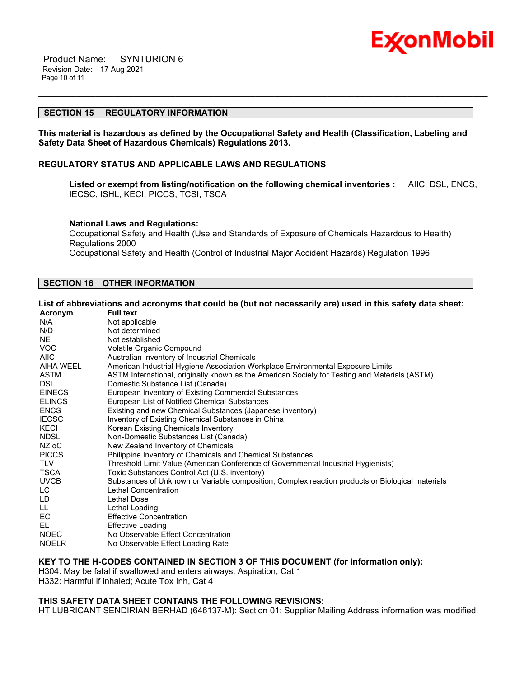

 Product Name: SYNTURION 6 Revision Date: 17 Aug 2021 Page 10 of 11

# **SECTION 15 REGULATORY INFORMATION**

**This material is hazardous as defined by the Occupational Safety and Health (Classification, Labeling and Safety Data Sheet of Hazardous Chemicals) Regulations 2013.**

\_\_\_\_\_\_\_\_\_\_\_\_\_\_\_\_\_\_\_\_\_\_\_\_\_\_\_\_\_\_\_\_\_\_\_\_\_\_\_\_\_\_\_\_\_\_\_\_\_\_\_\_\_\_\_\_\_\_\_\_\_\_\_\_\_\_\_\_\_\_\_\_\_\_\_\_\_\_\_\_\_\_\_\_\_\_\_\_\_\_\_\_\_\_\_\_\_\_\_\_\_\_\_\_\_\_\_\_\_\_\_\_\_\_\_\_\_\_

# **REGULATORY STATUS AND APPLICABLE LAWS AND REGULATIONS**

**Listed or exempt from listing/notification on the following chemical inventories :** AIIC, DSL, ENCS, IECSC, ISHL, KECI, PICCS, TCSI, TSCA

#### **National Laws and Regulations:**

Occupational Safety and Health (Use and Standards of Exposure of Chemicals Hazardous to Health) Regulations 2000 Occupational Safety and Health (Control of Industrial Major Accident Hazards) Regulation 1996

# **SECTION 16 OTHER INFORMATION**

#### List of abbreviations and acronyms that could be (but not necessarily are) used in this safety data sheet:

| ASTM International, originally known as the American Society for Testing and Materials (ASTM)    |
|--------------------------------------------------------------------------------------------------|
|                                                                                                  |
|                                                                                                  |
|                                                                                                  |
|                                                                                                  |
|                                                                                                  |
|                                                                                                  |
|                                                                                                  |
|                                                                                                  |
|                                                                                                  |
|                                                                                                  |
|                                                                                                  |
| Substances of Unknown or Variable composition, Complex reaction products or Biological materials |
|                                                                                                  |
|                                                                                                  |
|                                                                                                  |
|                                                                                                  |
|                                                                                                  |
|                                                                                                  |
|                                                                                                  |
|                                                                                                  |

#### **KEY TO THE H-CODES CONTAINED IN SECTION 3 OF THIS DOCUMENT (for information only):**

H304: May be fatal if swallowed and enters airways; Aspiration, Cat 1 H332: Harmful if inhaled; Acute Tox Inh, Cat 4

#### **THIS SAFETY DATA SHEET CONTAINS THE FOLLOWING REVISIONS:**

HT LUBRICANT SENDIRIAN BERHAD (646137-M): Section 01: Supplier Mailing Address information was modified.